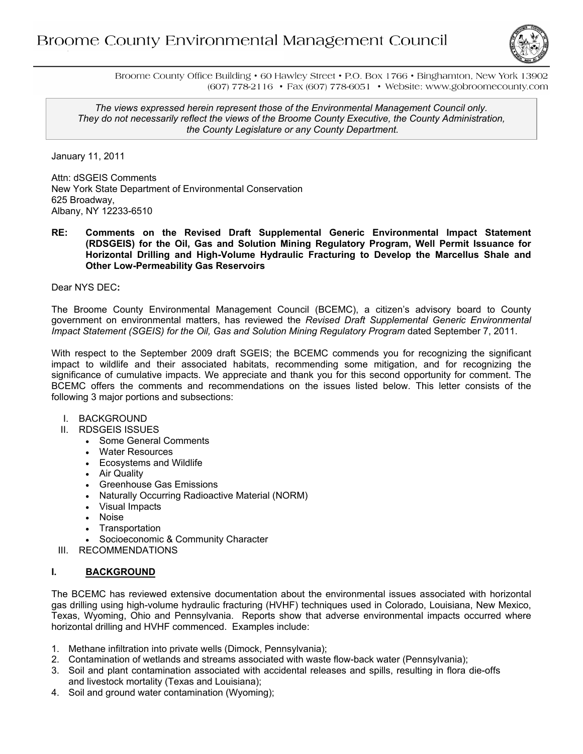

Broome County Office Building • 60 Hawley Street • P.O. Box 1766 • Binghamton, New York 13902 (607) 778-2116 • Fax (607) 778-6051 • Website: www.gobroomecounty.com

*The views expressed herein represent those of the Environmental Management Council only. They do not necessarily reflect the views of the Broome County Executive, the County Administration, the County Legislature or any County Department.*

January 11, 2011

Attn: dSGEIS Comments New York State Department of Environmental Conservation 625 Broadway, Albany, NY 12233-6510

**RE: Comments on the Revised Draft Supplemental Generic Environmental Impact Statement (RDSGEIS) for the Oil, Gas and Solution Mining Regulatory Program, Well Permit Issuance for Horizontal Drilling and High-Volume Hydraulic Fracturing to Develop the Marcellus Shale and Other Low-Permeability Gas Reservoirs** 

Dear NYS DEC**:** 

The Broome County Environmental Management Council (BCEMC), a citizen's advisory board to County government on environmental matters, has reviewed the *Revised Draft Supplemental Generic Environmental Impact Statement (SGEIS) for the Oil, Gas and Solution Mining Regulatory Program* dated September 7, 2011.

With respect to the September 2009 draft SGEIS; the BCEMC commends you for recognizing the significant impact to wildlife and their associated habitats, recommending some mitigation, and for recognizing the significance of cumulative impacts. We appreciate and thank you for this second opportunity for comment. The BCEMC offers the comments and recommendations on the issues listed below. This letter consists of the following 3 major portions and subsections:

- I. BACKGROUND
- II. RDSGEIS ISSUES
	- Some General Comments
	- Water Resources
	- Ecosystems and Wildlife
	- Air Quality
	- Greenhouse Gas Emissions
	- Naturally Occurring Radioactive Material (NORM)
	- Visual Impacts
	- Noise
	- Transportation
	- Socioeconomic & Community Character
- III. RECOMMENDATIONS

# **I. BACKGROUND**

The BCEMC has reviewed extensive documentation about the environmental issues associated with horizontal gas drilling using high-volume hydraulic fracturing (HVHF) techniques used in Colorado, Louisiana, New Mexico, Texas, Wyoming, Ohio and Pennsylvania. Reports show that adverse environmental impacts occurred where horizontal drilling and HVHF commenced. Examples include:

- 1. Methane infiltration into private wells (Dimock, Pennsylvania);
- 2. Contamination of wetlands and streams associated with waste flow-back water (Pennsylvania);
- 3. Soil and plant contamination associated with accidental releases and spills, resulting in flora die-offs and livestock mortality (Texas and Louisiana);
- 4. Soil and ground water contamination (Wyoming);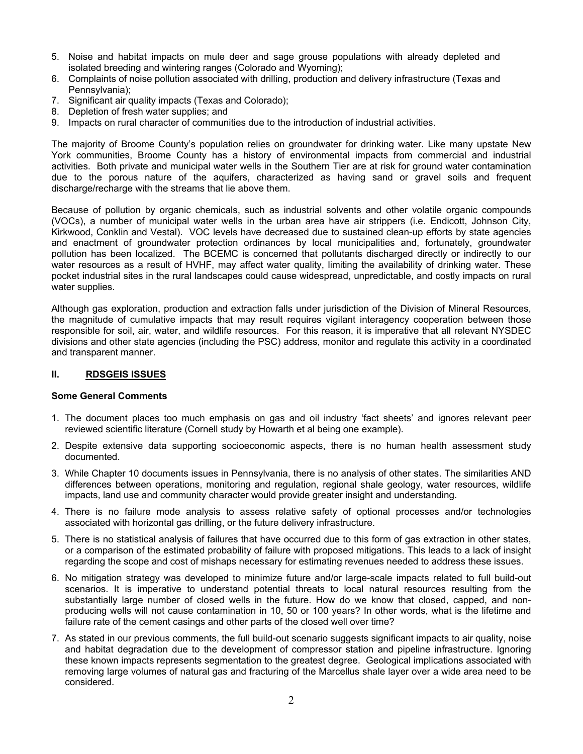- 5. Noise and habitat impacts on mule deer and sage grouse populations with already depleted and isolated breeding and wintering ranges (Colorado and Wyoming);
- 6. Complaints of noise pollution associated with drilling, production and delivery infrastructure (Texas and Pennsylvania);
- 7. Significant air quality impacts (Texas and Colorado);
- 8. Depletion of fresh water supplies; and
- 9. Impacts on rural character of communities due to the introduction of industrial activities.

The majority of Broome County's population relies on groundwater for drinking water. Like many upstate New York communities, Broome County has a history of environmental impacts from commercial and industrial activities. Both private and municipal water wells in the Southern Tier are at risk for ground water contamination due to the porous nature of the aquifers, characterized as having sand or gravel soils and frequent discharge/recharge with the streams that lie above them.

Because of pollution by organic chemicals, such as industrial solvents and other volatile organic compounds (VOCs), a number of municipal water wells in the urban area have air strippers (i.e. Endicott, Johnson City, Kirkwood, Conklin and Vestal). VOC levels have decreased due to sustained clean-up efforts by state agencies and enactment of groundwater protection ordinances by local municipalities and, fortunately, groundwater pollution has been localized. The BCEMC is concerned that pollutants discharged directly or indirectly to our water resources as a result of HVHF, may affect water quality, limiting the availability of drinking water. These pocket industrial sites in the rural landscapes could cause widespread, unpredictable, and costly impacts on rural water supplies.

Although gas exploration, production and extraction falls under jurisdiction of the Division of Mineral Resources, the magnitude of cumulative impacts that may result requires vigilant interagency cooperation between those responsible for soil, air, water, and wildlife resources. For this reason, it is imperative that all relevant NYSDEC divisions and other state agencies (including the PSC) address, monitor and regulate this activity in a coordinated and transparent manner.

#### **II. RDSGEIS ISSUES**

### **Some General Comments**

- 1. The document places too much emphasis on gas and oil industry 'fact sheets' and ignores relevant peer reviewed scientific literature (Cornell study by Howarth et al being one example).
- 2. Despite extensive data supporting socioeconomic aspects, there is no human health assessment study documented.
- 3. While Chapter 10 documents issues in Pennsylvania, there is no analysis of other states. The similarities AND differences between operations, monitoring and regulation, regional shale geology, water resources, wildlife impacts, land use and community character would provide greater insight and understanding.
- 4. There is no failure mode analysis to assess relative safety of optional processes and/or technologies associated with horizontal gas drilling, or the future delivery infrastructure.
- 5. There is no statistical analysis of failures that have occurred due to this form of gas extraction in other states, or a comparison of the estimated probability of failure with proposed mitigations. This leads to a lack of insight regarding the scope and cost of mishaps necessary for estimating revenues needed to address these issues.
- 6. No mitigation strategy was developed to minimize future and/or large-scale impacts related to full build-out scenarios. It is imperative to understand potential threats to local natural resources resulting from the substantially large number of closed wells in the future. How do we know that closed, capped, and nonproducing wells will not cause contamination in 10, 50 or 100 years? In other words, what is the lifetime and failure rate of the cement casings and other parts of the closed well over time?
- 7. As stated in our previous comments, the full build-out scenario suggests significant impacts to air quality, noise and habitat degradation due to the development of compressor station and pipeline infrastructure. Ignoring these known impacts represents segmentation to the greatest degree. Geological implications associated with removing large volumes of natural gas and fracturing of the Marcellus shale layer over a wide area need to be considered.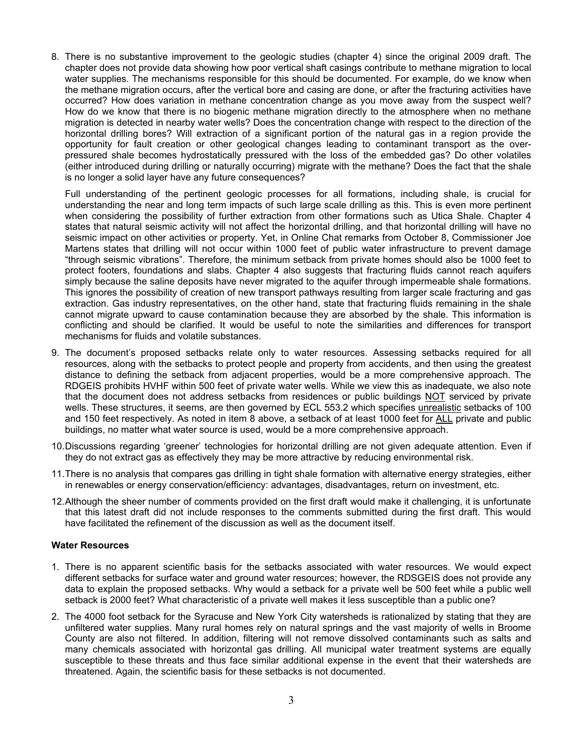8. There is no substantive improvement to the geologic studies (chapter 4) since the original 2009 draft. The chapter does not provide data showing how poor vertical shaft casings contribute to methane migration to local water supplies. The mechanisms responsible for this should be documented. For example, do we know when the methane migration occurs, after the vertical bore and casing are done, or after the fracturing activities have occurred? How does variation in methane concentration change as you move away from the suspect well? How do we know that there is no biogenic methane migration directly to the atmosphere when no methane migration is detected in nearby water wells? Does the concentration change with respect to the direction of the horizontal drilling bores? Will extraction of a significant portion of the natural gas in a region provide the opportunity for fault creation or other geological changes leading to contaminant transport as the overpressured shale becomes hydrostatically pressured with the loss of the embedded gas? Do other volatiles (either introduced during drilling or naturally occurring) migrate with the methane? Does the fact that the shale is no longer a solid layer have any future consequences?

Full understanding of the pertinent geologic processes for all formations, including shale, is crucial for understanding the near and long term impacts of such large scale drilling as this. This is even more pertinent when considering the possibility of further extraction from other formations such as Utica Shale. Chapter 4 states that natural seismic activity will not affect the horizontal drilling, and that horizontal drilling will have no seismic impact on other activities or property. Yet, in Online Chat remarks from October 8, Commissioner Joe Martens states that drilling will not occur within 1000 feet of public water infrastructure to prevent damage "through seismic vibrations". Therefore, the minimum setback from private homes should also be 1000 feet to protect footers, foundations and slabs. Chapter 4 also suggests that fracturing fluids cannot reach aquifers simply because the saline deposits have never migrated to the aquifer through impermeable shale formations. This ignores the possibility of creation of new transport pathways resulting from larger scale fracturing and gas extraction. Gas industry representatives, on the other hand, state that fracturing fluids remaining in the shale cannot migrate upward to cause contamination because they are absorbed by the shale. This information is conflicting and should be clarified. It would be useful to note the similarities and differences for transport mechanisms for fluids and volatile substances.

- 9. The document's proposed setbacks relate only to water resources. Assessing setbacks required for all resources, along with the setbacks to protect people and property from accidents, and then using the greatest distance to defining the setback from adjacent properties, would be a more comprehensive approach. The RDGEIS prohibits HVHF within 500 feet of private water wells. While we view this as inadequate, we also note that the document does not address setbacks from residences or public buildings NOT serviced by private wells. These structures, it seems, are then governed by ECL 553.2 which specifies unrealistic setbacks of 100 and 150 feet respectively. As noted in item 8 above, a setback of at least 1000 feet for ALL private and public buildings, no matter what water source is used, would be a more comprehensive approach.
- 10. Discussions regarding 'greener' technologies for horizontal drilling are not given adequate attention. Even if they do not extract gas as effectively they may be more attractive by reducing environmental risk.
- 11. There is no analysis that compares gas drilling in tight shale formation with alternative energy strategies, either in renewables or energy conservation/efficiency: advantages, disadvantages, return on investment, etc.
- 12. Although the sheer number of comments provided on the first draft would make it challenging, it is unfortunate that this latest draft did not include responses to the comments submitted during the first draft. This would have facilitated the refinement of the discussion as well as the document itself.

### **Water Resources**

- 1. There is no apparent scientific basis for the setbacks associated with water resources. We would expect different setbacks for surface water and ground water resources; however, the RDSGEIS does not provide any data to explain the proposed setbacks. Why would a setback for a private well be 500 feet while a public well setback is 2000 feet? What characteristic of a private well makes it less susceptible than a public one?
- 2. The 4000 foot setback for the Syracuse and New York City watersheds is rationalized by stating that they are unfiltered water supplies. Many rural homes rely on natural springs and the vast majority of wells in Broome County are also not filtered. In addition, filtering will not remove dissolved contaminants such as salts and many chemicals associated with horizontal gas drilling. All municipal water treatment systems are equally susceptible to these threats and thus face similar additional expense in the event that their watersheds are threatened. Again, the scientific basis for these setbacks is not documented.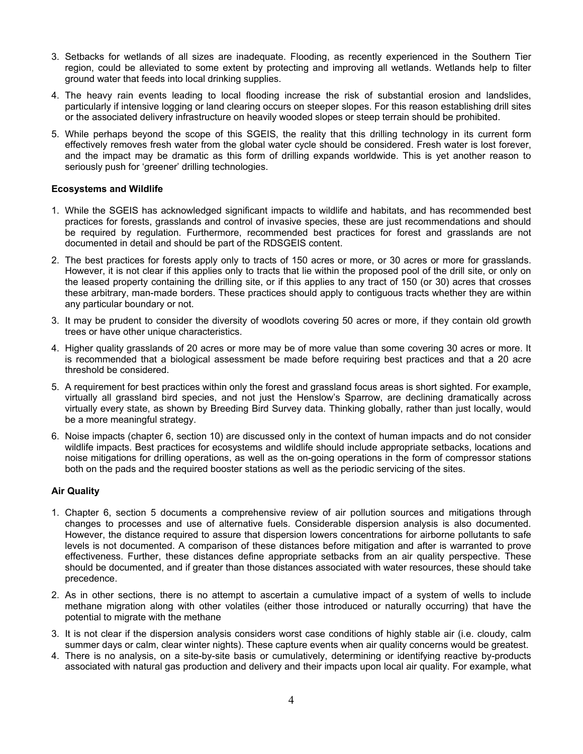- 3. Setbacks for wetlands of all sizes are inadequate. Flooding, as recently experienced in the Southern Tier region, could be alleviated to some extent by protecting and improving all wetlands. Wetlands help to filter ground water that feeds into local drinking supplies.
- 4. The heavy rain events leading to local flooding increase the risk of substantial erosion and landslides, particularly if intensive logging or land clearing occurs on steeper slopes. For this reason establishing drill sites or the associated delivery infrastructure on heavily wooded slopes or steep terrain should be prohibited.
- 5. While perhaps beyond the scope of this SGEIS, the reality that this drilling technology in its current form effectively removes fresh water from the global water cycle should be considered. Fresh water is lost forever, and the impact may be dramatic as this form of drilling expands worldwide. This is yet another reason to seriously push for 'greener' drilling technologies.

### **Ecosystems and Wildlife**

- 1. While the SGEIS has acknowledged significant impacts to wildlife and habitats, and has recommended best practices for forests, grasslands and control of invasive species, these are just recommendations and should be required by regulation. Furthermore, recommended best practices for forest and grasslands are not documented in detail and should be part of the RDSGEIS content.
- 2. The best practices for forests apply only to tracts of 150 acres or more, or 30 acres or more for grasslands. However, it is not clear if this applies only to tracts that lie within the proposed pool of the drill site, or only on the leased property containing the drilling site, or if this applies to any tract of 150 (or 30) acres that crosses these arbitrary, man-made borders. These practices should apply to contiguous tracts whether they are within any particular boundary or not.
- 3. It may be prudent to consider the diversity of woodlots covering 50 acres or more, if they contain old growth trees or have other unique characteristics.
- 4. Higher quality grasslands of 20 acres or more may be of more value than some covering 30 acres or more. It is recommended that a biological assessment be made before requiring best practices and that a 20 acre threshold be considered.
- 5. A requirement for best practices within only the forest and grassland focus areas is short sighted. For example, virtually all grassland bird species, and not just the Henslow's Sparrow, are declining dramatically across virtually every state, as shown by Breeding Bird Survey data. Thinking globally, rather than just locally, would be a more meaningful strategy.
- 6. Noise impacts (chapter 6, section 10) are discussed only in the context of human impacts and do not consider wildlife impacts. Best practices for ecosystems and wildlife should include appropriate setbacks, locations and noise mitigations for drilling operations, as well as the on-going operations in the form of compressor stations both on the pads and the required booster stations as well as the periodic servicing of the sites.

# **Air Quality**

- 1. Chapter 6, section 5 documents a comprehensive review of air pollution sources and mitigations through changes to processes and use of alternative fuels. Considerable dispersion analysis is also documented. However, the distance required to assure that dispersion lowers concentrations for airborne pollutants to safe levels is not documented. A comparison of these distances before mitigation and after is warranted to prove effectiveness. Further, these distances define appropriate setbacks from an air quality perspective. These should be documented, and if greater than those distances associated with water resources, these should take precedence.
- 2. As in other sections, there is no attempt to ascertain a cumulative impact of a system of wells to include methane migration along with other volatiles (either those introduced or naturally occurring) that have the potential to migrate with the methane
- 3. It is not clear if the dispersion analysis considers worst case conditions of highly stable air (i.e. cloudy, calm summer days or calm, clear winter nights). These capture events when air quality concerns would be greatest.
- 4. There is no analysis, on a site-by-site basis or cumulatively, determining or identifying reactive by-products associated with natural gas production and delivery and their impacts upon local air quality. For example, what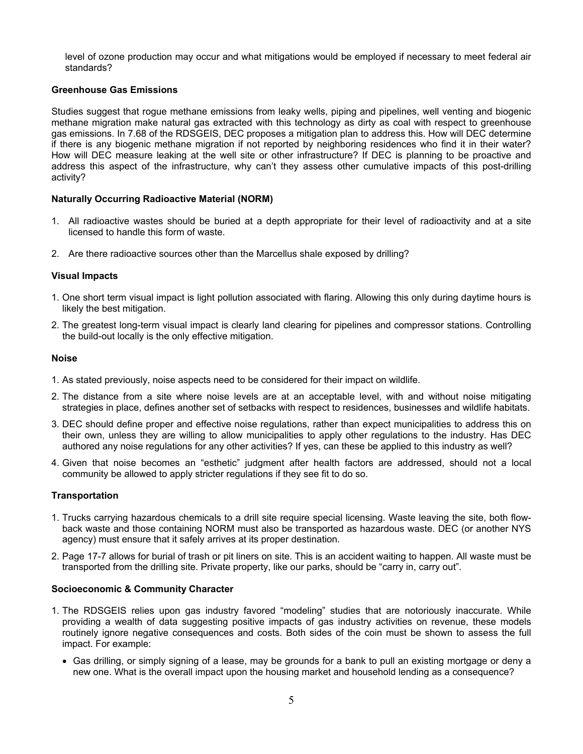level of ozone production may occur and what mitigations would be employed if necessary to meet federal air standards?

## **Greenhouse Gas Emissions**

Studies suggest that rogue methane emissions from leaky wells, piping and pipelines, well venting and biogenic methane migration make natural gas extracted with this technology as dirty as coal with respect to greenhouse gas emissions. In 7.68 of the RDSGEIS, DEC proposes a mitigation plan to address this. How will DEC determine if there is any biogenic methane migration if not reported by neighboring residences who find it in their water? How will DEC measure leaking at the well site or other infrastructure? If DEC is planning to be proactive and address this aspect of the infrastructure, why can't they assess other cumulative impacts of this post-drilling activity?

### **Naturally Occurring Radioactive Material (NORM)**

- 1. All radioactive wastes should be buried at a depth appropriate for their level of radioactivity and at a site licensed to handle this form of waste.
- 2. Are there radioactive sources other than the Marcellus shale exposed by drilling?

### **Visual Impacts**

- 1. One short term visual impact is light pollution associated with flaring. Allowing this only during daytime hours is likely the best mitigation.
- 2. The greatest long-term visual impact is clearly land clearing for pipelines and compressor stations. Controlling the build-out locally is the only effective mitigation.

### **Noise**

- 1. As stated previously, noise aspects need to be considered for their impact on wildlife.
- 2. The distance from a site where noise levels are at an acceptable level, with and without noise mitigating strategies in place, defines another set of setbacks with respect to residences, businesses and wildlife habitats.
- 3. DEC should define proper and effective noise regulations, rather than expect municipalities to address this on their own, unless they are willing to allow municipalities to apply other regulations to the industry. Has DEC authored any noise regulations for any other activities? If yes, can these be applied to this industry as well?
- 4. Given that noise becomes an "esthetic" judgment after health factors are addressed, should not a local community be allowed to apply stricter regulations if they see fit to do so.

### **Transportation**

- 1. Trucks carrying hazardous chemicals to a drill site require special licensing. Waste leaving the site, both flowback waste and those containing NORM must also be transported as hazardous waste. DEC (or another NYS agency) must ensure that it safely arrives at its proper destination.
- 2. Page 17-7 allows for burial of trash or pit liners on site. This is an accident waiting to happen. All waste must be transported from the drilling site. Private property, like our parks, should be "carry in, carry out".

### **Socioeconomic & Community Character**

- 1. The RDSGEIS relies upon gas industry favored "modeling" studies that are notoriously inaccurate. While providing a wealth of data suggesting positive impacts of gas industry activities on revenue, these models routinely ignore negative consequences and costs. Both sides of the coin must be shown to assess the full impact. For example:
	- Gas drilling, or simply signing of a lease, may be grounds for a bank to pull an existing mortgage or deny a new one. What is the overall impact upon the housing market and household lending as a consequence?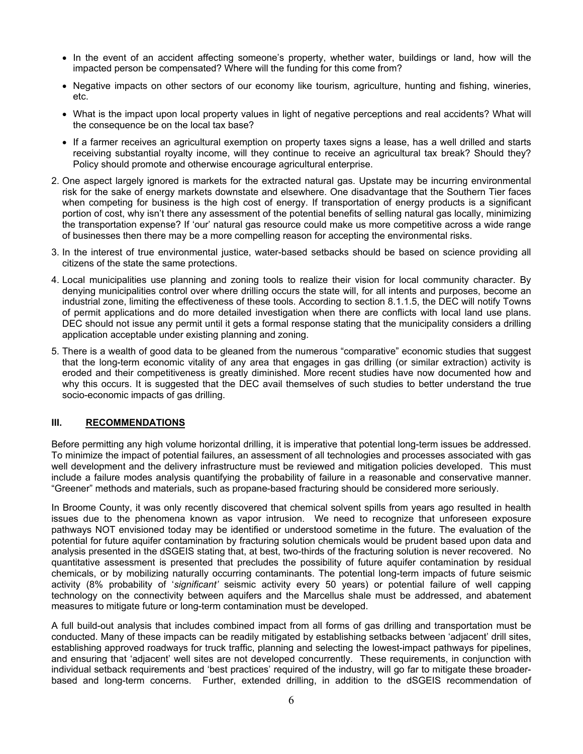- In the event of an accident affecting someone's property, whether water, buildings or land, how will the impacted person be compensated? Where will the funding for this come from?
- Negative impacts on other sectors of our economy like tourism, agriculture, hunting and fishing, wineries, etc.
- What is the impact upon local property values in light of negative perceptions and real accidents? What will the consequence be on the local tax base?
- If a farmer receives an agricultural exemption on property taxes signs a lease, has a well drilled and starts receiving substantial royalty income, will they continue to receive an agricultural tax break? Should they? Policy should promote and otherwise encourage agricultural enterprise.
- 2. One aspect largely ignored is markets for the extracted natural gas. Upstate may be incurring environmental risk for the sake of energy markets downstate and elsewhere. One disadvantage that the Southern Tier faces when competing for business is the high cost of energy. If transportation of energy products is a significant portion of cost, why isn't there any assessment of the potential benefits of selling natural gas locally, minimizing the transportation expense? If 'our' natural gas resource could make us more competitive across a wide range of businesses then there may be a more compelling reason for accepting the environmental risks.
- 3. In the interest of true environmental justice, water-based setbacks should be based on science providing all citizens of the state the same protections.
- 4. Local municipalities use planning and zoning tools to realize their vision for local community character. By denying municipalities control over where drilling occurs the state will, for all intents and purposes, become an industrial zone, limiting the effectiveness of these tools. According to section 8.1.1.5, the DEC will notify Towns of permit applications and do more detailed investigation when there are conflicts with local land use plans. DEC should not issue any permit until it gets a formal response stating that the municipality considers a drilling application acceptable under existing planning and zoning.
- 5. There is a wealth of good data to be gleaned from the numerous "comparative" economic studies that suggest that the long-term economic vitality of any area that engages in gas drilling (or similar extraction) activity is eroded and their competitiveness is greatly diminished. More recent studies have now documented how and why this occurs. It is suggested that the DEC avail themselves of such studies to better understand the true socio-economic impacts of gas drilling.

### **III. RECOMMENDATIONS**

Before permitting any high volume horizontal drilling, it is imperative that potential long-term issues be addressed. To minimize the impact of potential failures, an assessment of all technologies and processes associated with gas well development and the delivery infrastructure must be reviewed and mitigation policies developed. This must include a failure modes analysis quantifying the probability of failure in a reasonable and conservative manner. "Greener" methods and materials, such as propane-based fracturing should be considered more seriously.

In Broome County, it was only recently discovered that chemical solvent spills from years ago resulted in health issues due to the phenomena known as vapor intrusion. We need to recognize that unforeseen exposure pathways NOT envisioned today may be identified or understood sometime in the future. The evaluation of the potential for future aquifer contamination by fracturing solution chemicals would be prudent based upon data and analysis presented in the dSGEIS stating that, at best, two-thirds of the fracturing solution is never recovered. No quantitative assessment is presented that precludes the possibility of future aquifer contamination by residual chemicals, or by mobilizing naturally occurring contaminants. The potential long-term impacts of future seismic activity (8% probability of '*significant'* seismic activity every 50 years) or potential failure of well capping technology on the connectivity between aquifers and the Marcellus shale must be addressed, and abatement measures to mitigate future or long-term contamination must be developed.

A full build-out analysis that includes combined impact from all forms of gas drilling and transportation must be conducted. Many of these impacts can be readily mitigated by establishing setbacks between 'adjacent' drill sites, establishing approved roadways for truck traffic, planning and selecting the lowest-impact pathways for pipelines, and ensuring that 'adjacent' well sites are not developed concurrently. These requirements, in conjunction with individual setback requirements and 'best practices' required of the industry, will go far to mitigate these broaderbased and long-term concerns. Further, extended drilling, in addition to the dSGEIS recommendation of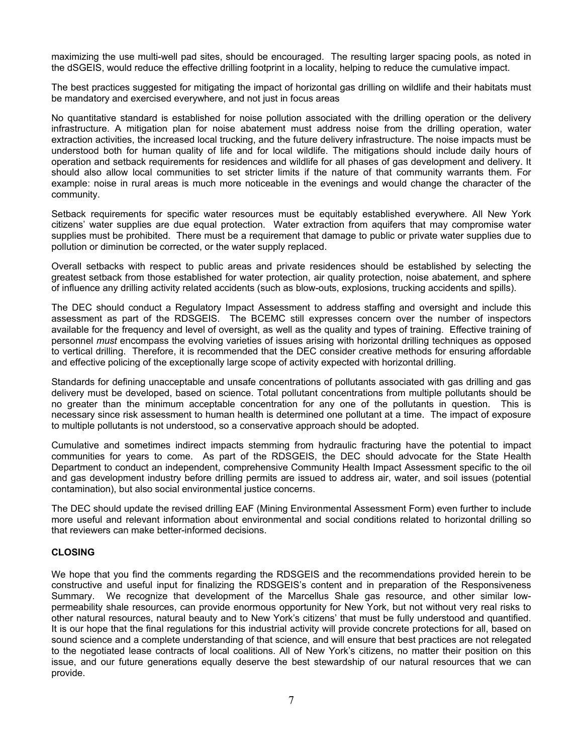maximizing the use multi-well pad sites, should be encouraged. The resulting larger spacing pools, as noted in the dSGEIS, would reduce the effective drilling footprint in a locality, helping to reduce the cumulative impact.

The best practices suggested for mitigating the impact of horizontal gas drilling on wildlife and their habitats must be mandatory and exercised everywhere, and not just in focus areas

No quantitative standard is established for noise pollution associated with the drilling operation or the delivery infrastructure. A mitigation plan for noise abatement must address noise from the drilling operation, water extraction activities, the increased local trucking, and the future delivery infrastructure. The noise impacts must be understood both for human quality of life and for local wildlife. The mitigations should include daily hours of operation and setback requirements for residences and wildlife for all phases of gas development and delivery. It should also allow local communities to set stricter limits if the nature of that community warrants them. For example: noise in rural areas is much more noticeable in the evenings and would change the character of the community.

Setback requirements for specific water resources must be equitably established everywhere. All New York citizens' water supplies are due equal protection. Water extraction from aquifers that may compromise water supplies must be prohibited. There must be a requirement that damage to public or private water supplies due to pollution or diminution be corrected, or the water supply replaced.

Overall setbacks with respect to public areas and private residences should be established by selecting the greatest setback from those established for water protection, air quality protection, noise abatement, and sphere of influence any drilling activity related accidents (such as blow-outs, explosions, trucking accidents and spills).

The DEC should conduct a Regulatory Impact Assessment to address staffing and oversight and include this assessment as part of the RDSGEIS. The BCEMC still expresses concern over the number of inspectors available for the frequency and level of oversight, as well as the quality and types of training. Effective training of personnel *must* encompass the evolving varieties of issues arising with horizontal drilling techniques as opposed to vertical drilling. Therefore, it is recommended that the DEC consider creative methods for ensuring affordable and effective policing of the exceptionally large scope of activity expected with horizontal drilling.

Standards for defining unacceptable and unsafe concentrations of pollutants associated with gas drilling and gas delivery must be developed, based on science. Total pollutant concentrations from multiple pollutants should be no greater than the minimum acceptable concentration for any one of the pollutants in question. This is necessary since risk assessment to human health is determined one pollutant at a time. The impact of exposure to multiple pollutants is not understood, so a conservative approach should be adopted.

Cumulative and sometimes indirect impacts stemming from hydraulic fracturing have the potential to impact communities for years to come. As part of the RDSGEIS, the DEC should advocate for the State Health Department to conduct an independent, comprehensive Community Health Impact Assessment specific to the oil and gas development industry before drilling permits are issued to address air, water, and soil issues (potential contamination), but also social environmental justice concerns.

The DEC should update the revised drilling EAF (Mining Environmental Assessment Form) even further to include more useful and relevant information about environmental and social conditions related to horizontal drilling so that reviewers can make better-informed decisions.

### **CLOSING**

We hope that you find the comments regarding the RDSGEIS and the recommendations provided herein to be constructive and useful input for finalizing the RDSGEIS's content and in preparation of the Responsiveness Summary. We recognize that development of the Marcellus Shale gas resource, and other similar lowpermeability shale resources, can provide enormous opportunity for New York, but not without very real risks to other natural resources, natural beauty and to New York's citizens' that must be fully understood and quantified. It is our hope that the final regulations for this industrial activity will provide concrete protections for all, based on sound science and a complete understanding of that science, and will ensure that best practices are not relegated to the negotiated lease contracts of local coalitions. All of New York's citizens, no matter their position on this issue, and our future generations equally deserve the best stewardship of our natural resources that we can provide.